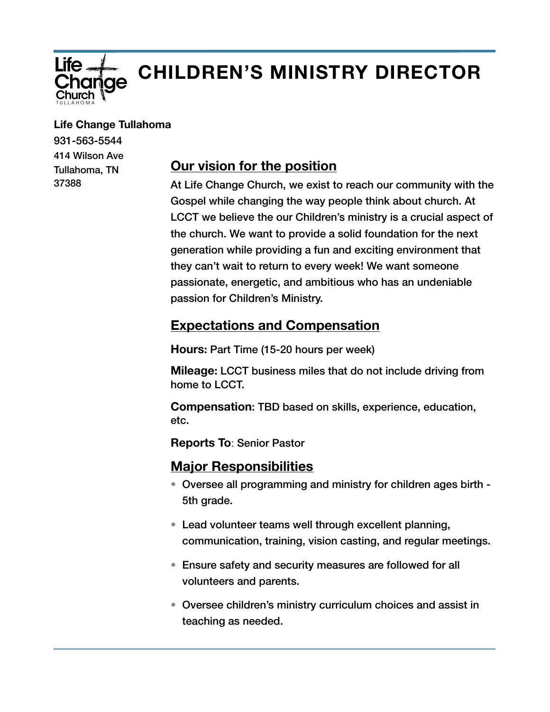

# **CHILDREN'S MINISTRY DIRECTOR**

#### **Life Change Tullahoma**

931-563-5544 414 Wilson Ave Tullahoma, TN 37388

# **Our vision for the position**

At Life Change Church, we exist to reach our community with the Gospel while changing the way people think about church. At LCCT we believe the our Children's ministry is a crucial aspect of the church. We want to provide a solid foundation for the next generation while providing a fun and exciting environment that they can't wait to return to every week! We want someone passionate, energetic, and ambitious who has an undeniable passion for Children's Ministry.

## **Expectations and Compensation**

**Hours:** Part Time (15-20 hours per week)

**Mileage:** LCCT business miles that do not include driving from home to LCCT.

**Compensation**: TBD based on skills, experience, education, etc.

**Reports To**: Senior Pastor

### **Major Responsibilities**

- Oversee all programming and ministry for children ages birth 5th grade.
- Lead volunteer teams well through excellent planning, communication, training, vision casting, and regular meetings.
- Ensure safety and security measures are followed for all volunteers and parents.
- Oversee children's ministry curriculum choices and assist in teaching as needed.